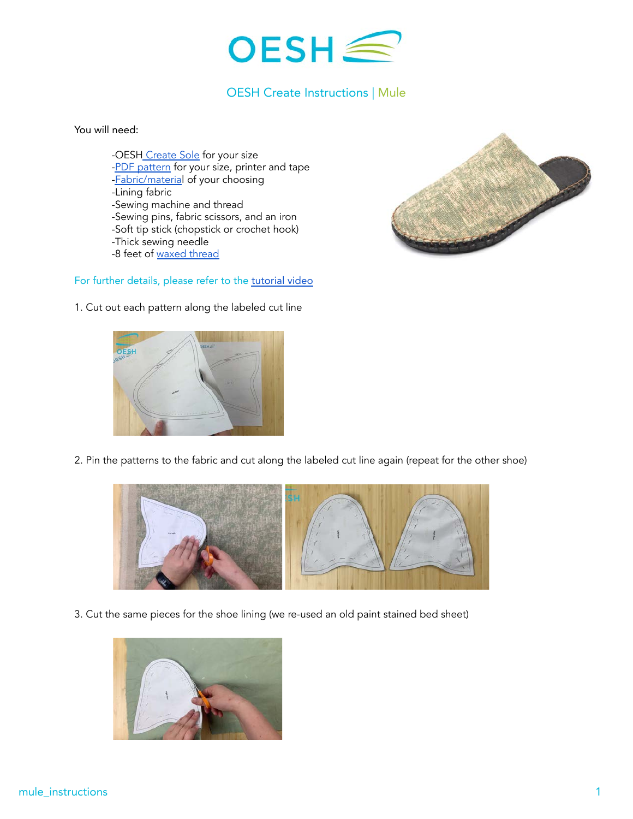

## OESH Create Instructions | Mule

You will need:

-OESH [Create Sole](https://oeshshoes.com/product/create-soles/) for your size [-PDF pattern](http://ftpri2o23ns3wj8ke46t9tum-wpengine.netdna-ssl.com/wp-content/uploads/2021/06/mule-patterns_reduced.pdf) for your size, printer and tape [-Fabric/material](https://oeshshoes.com/create/oesh-create-materials/) of your choosing -Lining fabric -Sewing machine and thread -Sewing pins, fabric scissors, and an iron -Soft tip stick (chopstick or crochet hook) -Thick sewing needle -8 feet of [waxed thread](https://www.amazon.com/Leather-Sewing-Thread-Stitching-String/dp/B06XKP9KFJ?th=1)

## For further details, please refer to the [tutorial video](https://youtu.be/2yVGv3c1unM)



1. Cut out each pattern along the labeled cut line



2. Pin the patterns to the fabric and cut along the labeled cut line again (repeat for the other shoe)



3. Cut the same pieces for the shoe lining (we re-used an old paint stained bed sheet)

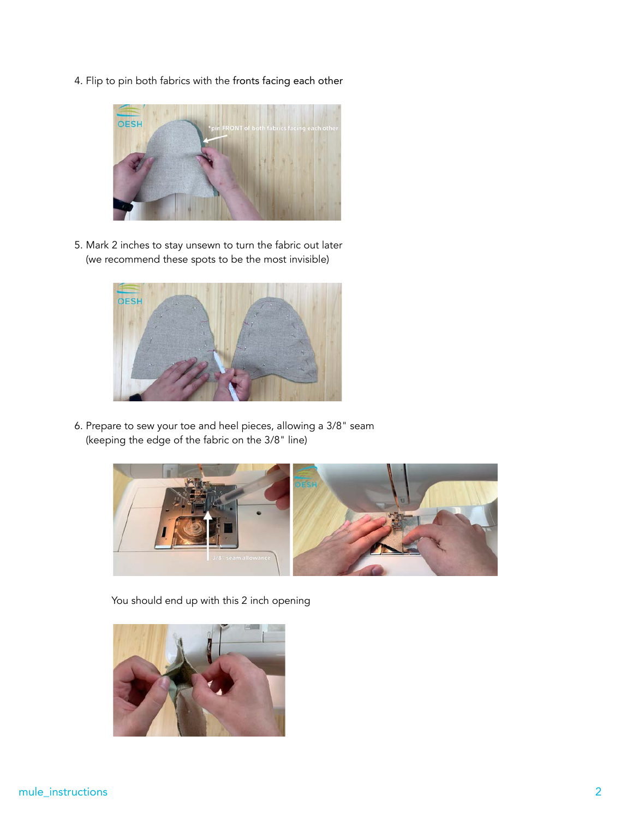4. Flip to pin both fabrics with the fronts facing each other



5. Mark 2 inches to stay unsewn to turn the fabric out later (we recommend these spots to be the most invisible)



6. Prepare to sew your toe and heel pieces, allowing a 3/8" seam (keeping the edge of the fabric on the 3/8" line)



You should end up with this 2 inch opening

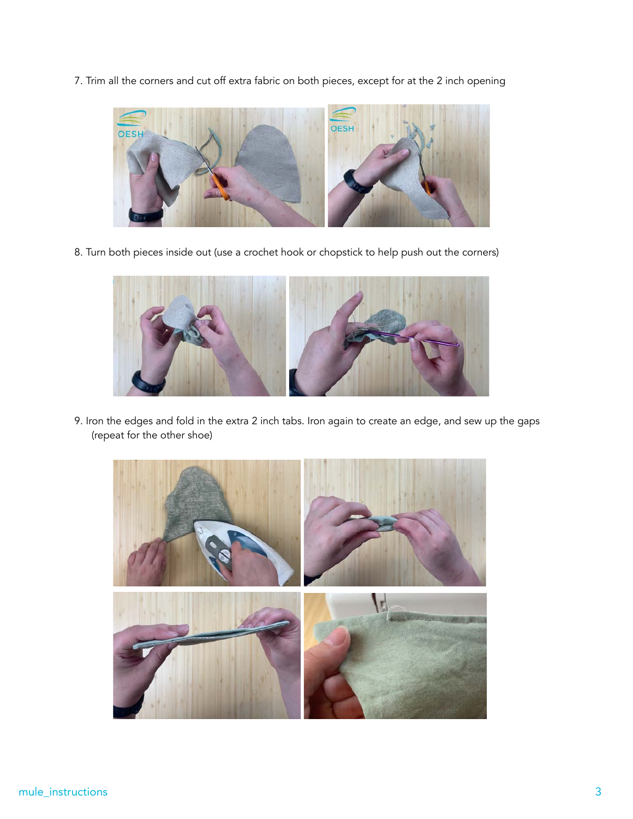7. Trim all the corners and cut off extra fabric on both pieces, except for at the 2 inch opening



8. Turn both pieces inside out (use a crochet hook or chopstick to help push out the corners)



9. Iron the edges and fold in the extra 2 inch tabs. Iron again to create an edge, and sew up the gaps (repeat for the other shoe)

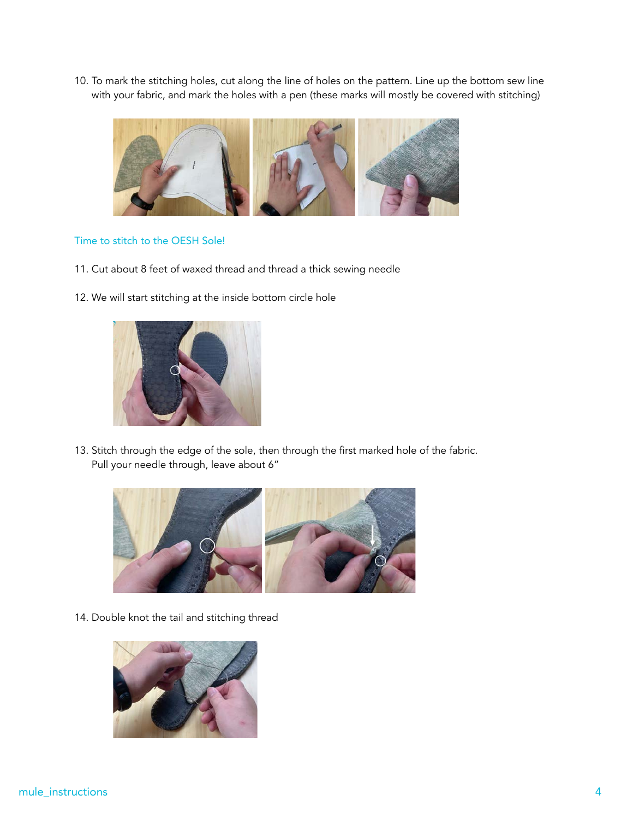10. To mark the stitching holes, cut along the line of holes on the pattern. Line up the bottom sew line with your fabric, and mark the holes with a pen (these marks will mostly be covered with stitching)



## Time to stitch to the OESH Sole!

- 11. Cut about 8 feet of waxed thread and thread a thick sewing needle
- 12. We will start stitching at the inside bottom circle hole



13. Stitch through the edge of the sole, then through the first marked hole of the fabric. Pull your needle through, leave about 6"



14. Double knot the tail and stitching thread

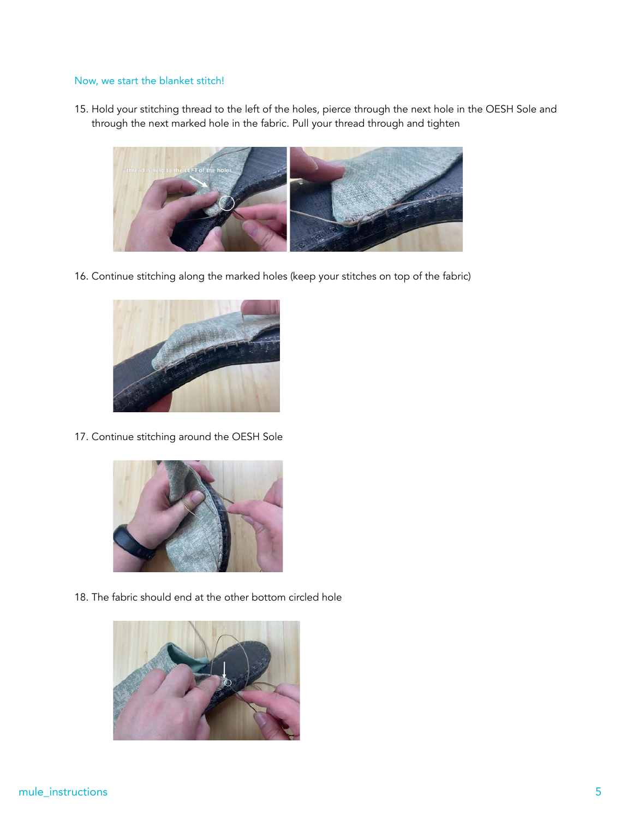## Now, we start the blanket stitch!

15. Hold your stitching thread to the left of the holes, pierce through the next hole in the OESH Sole and through the next marked hole in the fabric. Pull your thread through and tighten



16. Continue stitching along the marked holes (keep your stitches on top of the fabric)



17. Continue stitching around the OESH Sole



18. The fabric should end at the other bottom circled hole